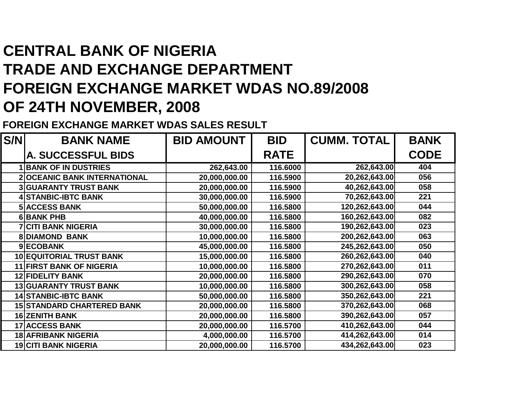## **CENTRAL BANK OF NIGERIA TRADE AND EXCHANGE DEPARTMENT FOREIGN EXCHANGE MARKET WDAS NO.89/2008OF 24TH NOVEMBER, 2008**

**FOREIGN EXCHANGE MARKET WDAS SALES RESULT**

| S/N | <b>BANK NAME</b>                   | <b>BID AMOUNT</b> | <b>BID</b>  | <b>CUMM. TOTAL</b> | <b>BANK</b> |
|-----|------------------------------------|-------------------|-------------|--------------------|-------------|
|     | A. SUCCESSFUL BIDS                 |                   | <b>RATE</b> |                    | <b>CODE</b> |
|     | <b>1 BANK OF IN DUSTRIES</b>       | 262,643.00        | 116.6000    | 262,643.00         | 404         |
|     | <b>2OCEANIC BANK INTERNATIONAL</b> | 20,000,000.00     | 116.5900    | 20,262,643.00      | 056         |
|     | <b>3 GUARANTY TRUST BANK</b>       | 20,000,000.00     | 116.5900    | 40,262,643.00      | 058         |
|     | <b>4 STANBIC-IBTC BANK</b>         | 30,000,000.00     | 116.5900    | 70,262,643.00      | 221         |
|     | <b>5 ACCESS BANK</b>               | 50,000,000.00     | 116.5800    | 120,262,643.00     | 044         |
|     | <b>6BANK PHB</b>                   | 40,000,000.00     | 116.5800    | 160,262,643.00     | 082         |
|     | <b>7 CITI BANK NIGERIA</b>         | 30,000,000.00     | 116.5800    | 190,262,643.00     | 023         |
|     | <b>8 DIAMOND BANK</b>              | 10,000,000.00     | 116.5800    | 200,262,643.00     | 063         |
|     | 9ECOBANK                           | 45,000,000.00     | 116.5800    | 245,262,643.00     | 050         |
|     | <b>10 EQUITORIAL TRUST BANK</b>    | 15,000,000.00     | 116.5800    | 260,262,643.00     | 040         |
|     | <b>11 FIRST BANK OF NIGERIA</b>    | 10,000,000.00     | 116.5800    | 270,262,643.00     | 011         |
|     | <b>12 FIDELITY BANK</b>            | 20,000,000.00     | 116.5800    | 290,262,643.00     | 070         |
|     | <b>13 GUARANTY TRUST BANK</b>      | 10,000,000.00     | 116.5800    | 300,262,643.00     | 058         |
|     | <b>14 STANBIC-IBTC BANK</b>        | 50,000,000.00     | 116.5800    | 350,262,643.00     | 221         |
|     | <b>15 STANDARD CHARTERED BANK</b>  | 20,000,000.00     | 116.5800    | 370,262,643.00     | 068         |
|     | <b>16 ZENITH BANK</b>              | 20,000,000.00     | 116.5800    | 390,262,643.00     | 057         |
|     | <b>17 ACCESS BANK</b>              | 20,000,000.00     | 116.5700    | 410,262,643.00     | 044         |
|     | <b>18 AFRIBANK NIGERIA</b>         | 4,000,000.00      | 116.5700    | 414,262,643.00     | 014         |
|     | <b>19 CITI BANK NIGERIA</b>        | 20,000,000.00     | 116.5700    | 434,262,643.00     | 023         |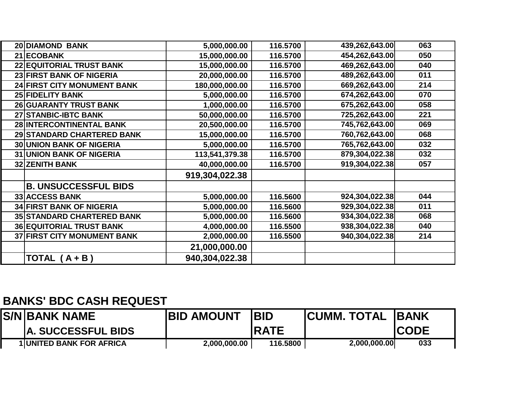| <b>20 DIAMOND BANK</b>             | 5,000,000.00   | 116.5700 | 439,262,643.00 | 063 |
|------------------------------------|----------------|----------|----------------|-----|
| 21 ECOBANK                         | 15,000,000.00  | 116.5700 | 454,262,643.00 | 050 |
| <b>22 EQUITORIAL TRUST BANK</b>    | 15,000,000.00  | 116.5700 | 469,262,643.00 | 040 |
| 23 FIRST BANK OF NIGERIA           | 20,000,000.00  | 116.5700 | 489,262,643.00 | 011 |
| <b>24 FIRST CITY MONUMENT BANK</b> | 180,000,000.00 | 116.5700 | 669,262,643.00 | 214 |
| 25 FIDELITY BANK                   | 5,000,000.00   | 116.5700 | 674,262,643.00 | 070 |
| 26 GUARANTY TRUST BANK             | 1,000,000.00   | 116.5700 | 675,262,643.00 | 058 |
| 27 STANBIC-IBTC BANK               | 50,000,000.00  | 116.5700 | 725,262,643.00 | 221 |
| 28 INTERCONTINENTAL BANK           | 20,500,000.00  | 116.5700 | 745,762,643.00 | 069 |
| 29 STANDARD CHARTERED BANK         | 15,000,000.00  | 116.5700 | 760,762,643.00 | 068 |
| <b>30 UNION BANK OF NIGERIA</b>    | 5,000,000.00   | 116.5700 | 765,762,643.00 | 032 |
| <b>31 UNION BANK OF NIGERIA</b>    | 113,541,379.38 | 116.5700 | 879,304,022.38 | 032 |
| <b>32 ZENITH BANK</b>              | 40,000,000.00  | 116.5700 | 919,304,022.38 | 057 |
|                                    | 919,304,022.38 |          |                |     |
| <b>B. UNSUCCESSFUL BIDS</b>        |                |          |                |     |
| <b>33 ACCESS BANK</b>              | 5,000,000.00   | 116.5600 | 924,304,022.38 | 044 |
| <b>34 FIRST BANK OF NIGERIA</b>    | 5,000,000.00   | 116.5600 | 929,304,022.38 | 011 |
| <b>35 STANDARD CHARTERED BANK</b>  | 5,000,000.00   | 116.5600 | 934,304,022.38 | 068 |
| <b>36 EQUITORIAL TRUST BANK</b>    | 4,000,000.00   | 116.5500 | 938,304,022.38 | 040 |
| <b>37 FIRST CITY MONUMENT BANK</b> | 2,000,000.00   | 116.5500 | 940,304,022.38 | 214 |
|                                    | 21,000,000.00  |          |                |     |
| <b>TOTAL</b><br>$(A + B)$          | 940,304,022.38 |          |                |     |

## **BANKS' BDC CASH REQUEST**

| <b>IS/NIBANK NAME</b>           | <b>IBID AMOUNT</b> | <b>IBID</b> | <b>ICUMM. TOTAL</b> | <b>IBANK</b> |
|---------------------------------|--------------------|-------------|---------------------|--------------|
| <b>IA. SUCCESSFUL BIDS</b>      |                    | IRATE       |                     | <b>ICODE</b> |
| <b>1 UNITED BANK FOR AFRICA</b> | 2,000,000.00       | 116.5800    | 2,000,000.00        | 033          |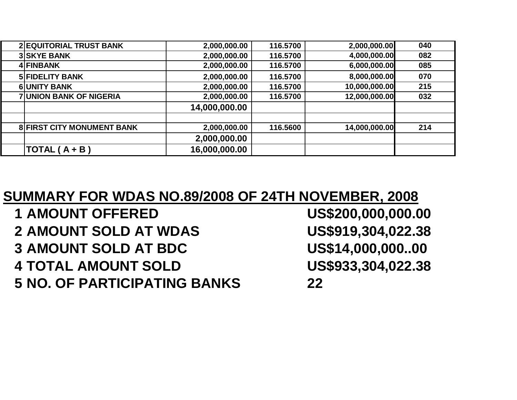| <b>2 EQUITORIAL TRUST BANK</b>    | 2,000,000.00  | 116.5700 | 2,000,000.00  | 040 |
|-----------------------------------|---------------|----------|---------------|-----|
| <b>3 SKYE BANK</b>                | 2,000,000.00  | 116.5700 | 4,000,000.00  | 082 |
| 4 FINBANK                         | 2,000,000.00  | 116.5700 | 6,000,000.00  | 085 |
| <b>5 FIDELITY BANK</b>            | 2,000,000.00  | 116.5700 | 8,000,000.00  | 070 |
| <b>6UNITY BANK</b>                | 2,000,000.00  | 116.5700 | 10,000,000.00 | 215 |
| <b>7 UNION BANK OF NIGERIA</b>    | 2,000,000.00  | 116.5700 | 12,000,000.00 | 032 |
|                                   | 14,000,000.00 |          |               |     |
|                                   |               |          |               |     |
| <b>8 FIRST CITY MONUMENT BANK</b> | 2,000,000.00  | 116.5600 | 14,000,000.00 | 214 |
|                                   | 2,000,000.00  |          |               |     |
| $TOTAL(A + B)$                    | 16,000,000.00 |          |               |     |

## **SUMMARY FOR WDAS NO.89/2008 OF 24TH NOVEMBER, 2008**

- **1 AMOUNT OFFERED 2 AMOUNT SOLD AT WDAS 3** AMOUNT SOLD AT BDC **4 TOTAL AMOUNT SOLD**
- **5 NO. OF PARTICIPATING BANKS <sup>22</sup>**

US\$200,000,000.00 US\$919,304,022.38 US\$14,000,000..00 US\$933,304,022.38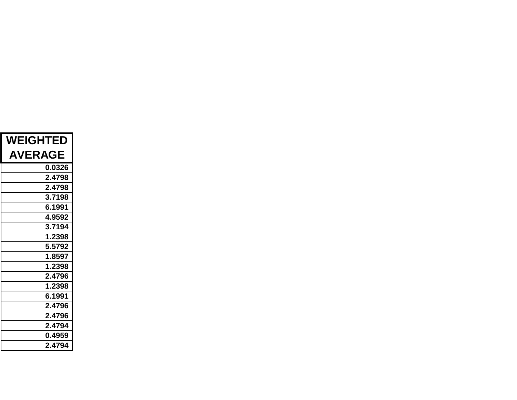| <b>WEIGHTED</b> |  |  |
|-----------------|--|--|
| <b>AVERAGE</b>  |  |  |
| 0.0326          |  |  |
| 2.4798          |  |  |
| 2.4798          |  |  |
| 3.7198          |  |  |
| 6.1991          |  |  |
| 4.9592          |  |  |
| 3.7194          |  |  |
| 1.2398          |  |  |
| 5.5792          |  |  |
| 1.8597          |  |  |
| 1.2398          |  |  |
| 2.4796          |  |  |
| 1.2398          |  |  |
| 6.1991          |  |  |
| 2.4796          |  |  |
| 2.4796          |  |  |
| 2.4794          |  |  |
| 0.4959          |  |  |
| 2.4794          |  |  |